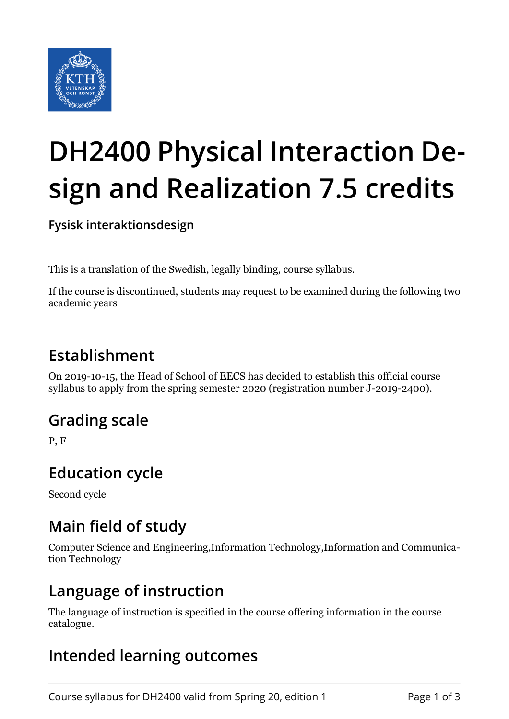

# **DH2400 Physical Interaction Design and Realization 7.5 credits**

**Fysisk interaktionsdesign**

This is a translation of the Swedish, legally binding, course syllabus.

If the course is discontinued, students may request to be examined during the following two academic years

## **Establishment**

On 2019-10-15, the Head of School of EECS has decided to establish this official course syllabus to apply from the spring semester 2020 (registration number J-2019-2400).

## **Grading scale**

P, F

## **Education cycle**

Second cycle

#### **Main field of study**

Computer Science and Engineering,Information Technology,Information and Communication Technology

#### **Language of instruction**

The language of instruction is specified in the course offering information in the course catalogue.

## **Intended learning outcomes**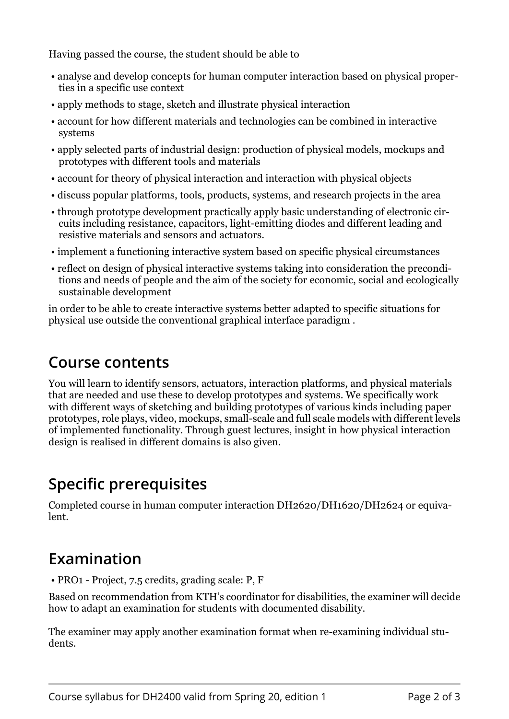Having passed the course, the student should be able to

- analyse and develop concepts for human computer interaction based on physical properties in a specific use context
- apply methods to stage, sketch and illustrate physical interaction
- account for how different materials and technologies can be combined in interactive systems
- apply selected parts of industrial design: production of physical models, mockups and prototypes with different tools and materials
- account for theory of physical interaction and interaction with physical objects
- discuss popular platforms, tools, products, systems, and research projects in the area
- through prototype development practically apply basic understanding of electronic circuits including resistance, capacitors, light-emitting diodes and different leading and resistive materials and sensors and actuators.
- implement a functioning interactive system based on specific physical circumstances
- reflect on design of physical interactive systems taking into consideration the preconditions and needs of people and the aim of the society for economic, social and ecologically sustainable development

in order to be able to create interactive systems better adapted to specific situations for physical use outside the conventional graphical interface paradigm .

## **Course contents**

You will learn to identify sensors, actuators, interaction platforms, and physical materials that are needed and use these to develop prototypes and systems. We specifically work with different ways of sketching and building prototypes of various kinds including paper prototypes, role plays, video, mockups, small-scale and full scale models with different levels of implemented functionality. Through guest lectures, insight in how physical interaction design is realised in different domains is also given.

## **Specific prerequisites**

Completed course in human computer interaction DH2620/DH1620/DH2624 or equivalent.

## **Examination**

• PRO1 - Project, 7.5 credits, grading scale: P, F

Based on recommendation from KTH's coordinator for disabilities, the examiner will decide how to adapt an examination for students with documented disability.

The examiner may apply another examination format when re-examining individual students.